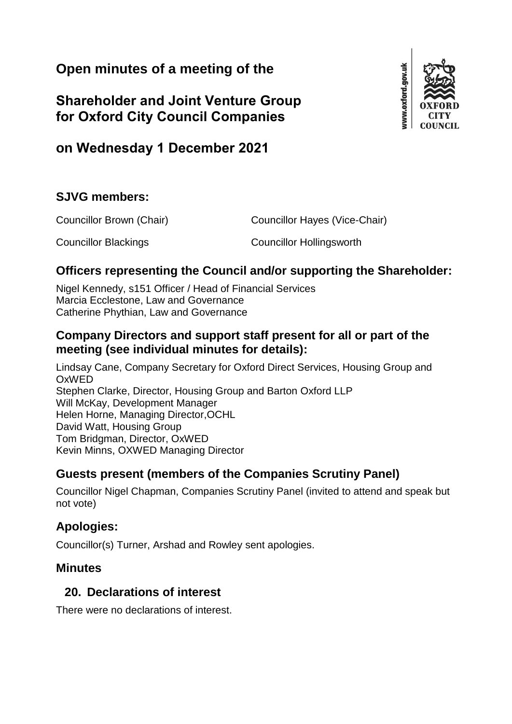# **Open minutes of a meeting of the**

**Shareholder and Joint Venture Group for Oxford City Council Companies**



## **SJVG members:**

Councillor Brown (Chair) Councillor Hayes (Vice-Chair) Councillor Blackings Councillor Hollingsworth

### **Officers representing the Council and/or supporting the Shareholder:**

Nigel Kennedy, s151 Officer / Head of Financial Services Marcia Ecclestone, Law and Governance Catherine Phythian, Law and Governance

### **Company Directors and support staff present for all or part of the meeting (see individual minutes for details):**

Lindsay Cane, Company Secretary for Oxford Direct Services, Housing Group and OxWED Stephen Clarke, Director, Housing Group and Barton Oxford LLP Will McKay, Development Manager Helen Horne, Managing Director,OCHL David Watt, Housing Group Tom Bridgman, Director, OxWED Kevin Minns, OXWED Managing Director

#### **Guests present (members of the Companies Scrutiny Panel)**

Councillor Nigel Chapman, Companies Scrutiny Panel (invited to attend and speak but not vote)

### **Apologies:**

Councillor(s) Turner, Arshad and Rowley sent apologies.

#### **Minutes**

#### **20. Declarations of interest**

There were no declarations of interest.

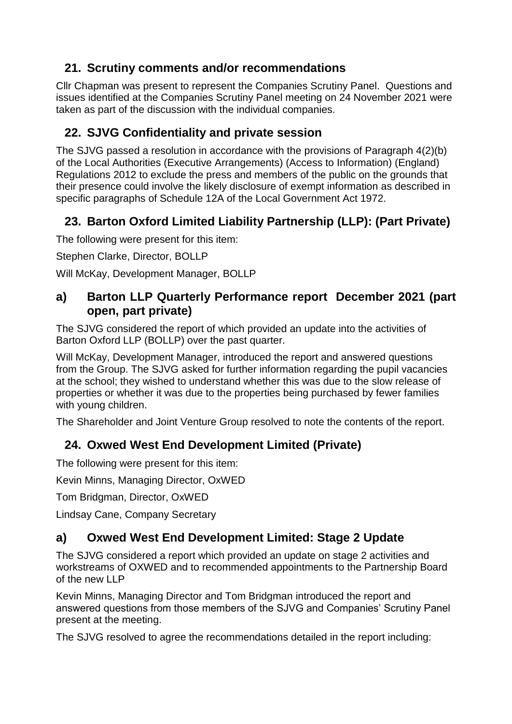## **21. Scrutiny comments and/or recommendations**

Cllr Chapman was present to represent the Companies Scrutiny Panel. Questions and issues identified at the Companies Scrutiny Panel meeting on 24 November 2021 were taken as part of the discussion with the individual companies.

# **22. SJVG Confidentiality and private session**

The SJVG passed a resolution in accordance with the provisions of Paragraph 4(2)(b) of the Local Authorities (Executive Arrangements) (Access to Information) (England) Regulations 2012 to exclude the press and members of the public on the grounds that their presence could involve the likely disclosure of exempt information as described in specific paragraphs of Schedule 12A of the Local Government Act 1972.

# **23. Barton Oxford Limited Liability Partnership (LLP): (Part Private)**

The following were present for this item:

Stephen Clarke, Director, BOLLP

Will McKay, Development Manager, BOLLP

### **a) Barton LLP Quarterly Performance report December 2021 (part open, part private)**

The SJVG considered the report of which provided an update into the activities of Barton Oxford LLP (BOLLP) over the past quarter.

Will McKay, Development Manager, introduced the report and answered questions from the Group. The SJVG asked for further information regarding the pupil vacancies at the school; they wished to understand whether this was due to the slow release of properties or whether it was due to the properties being purchased by fewer families with young children.

The Shareholder and Joint Venture Group resolved to note the contents of the report.

# **24. Oxwed West End Development Limited (Private)**

The following were present for this item:

Kevin Minns, Managing Director, OxWED

Tom Bridgman, Director, OxWED

Lindsay Cane, Company Secretary

# **a) Oxwed West End Development Limited: Stage 2 Update**

The SJVG considered a report which provided an update on stage 2 activities and workstreams of OXWED and to recommended appointments to the Partnership Board of the new LLP

Kevin Minns, Managing Director and Tom Bridgman introduced the report and answered questions from those members of the SJVG and Companies' Scrutiny Panel present at the meeting.

The SJVG resolved to agree the recommendations detailed in the report including: